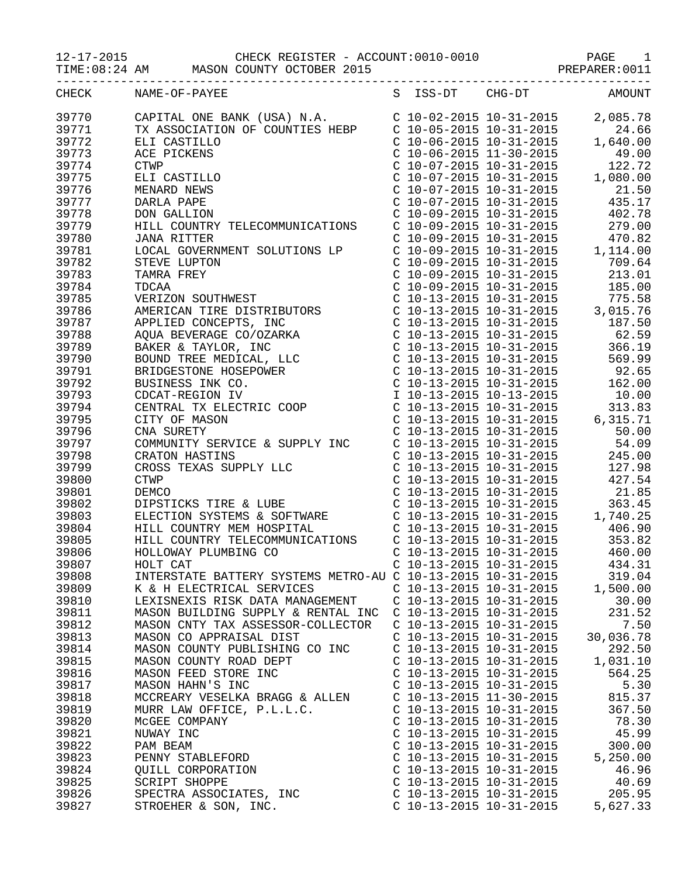12-17-2015 CHECK REGISTER - ACCOUNT:0010-0010 PAGE 1

TIME:08:24 AM MASON COUNTY OCTOBER 2015

| CHECK | S ISS-DT CHG-DT AMOUNT<br>NAME-OF-PAYEE                                                                                                                                                                                                                         |                           |                         |                                                                                                                                                                                                                                                   |
|-------|-----------------------------------------------------------------------------------------------------------------------------------------------------------------------------------------------------------------------------------------------------------------|---------------------------|-------------------------|---------------------------------------------------------------------------------------------------------------------------------------------------------------------------------------------------------------------------------------------------|
| 39770 |                                                                                                                                                                                                                                                                 |                           |                         |                                                                                                                                                                                                                                                   |
| 39771 |                                                                                                                                                                                                                                                                 |                           |                         |                                                                                                                                                                                                                                                   |
| 39772 |                                                                                                                                                                                                                                                                 |                           |                         | 1,640.00                                                                                                                                                                                                                                          |
| 39773 |                                                                                                                                                                                                                                                                 |                           |                         |                                                                                                                                                                                                                                                   |
| 39774 | <b>CTWP</b>                                                                                                                                                                                                                                                     |                           |                         | C 10-07-2015 10-31-2015 122.72                                                                                                                                                                                                                    |
| 39775 | ELI CASTILLO                                                                                                                                                                                                                                                    |                           | C 10-07-2015 10-31-2015 | 1,080.00                                                                                                                                                                                                                                          |
| 39776 | MENARD NEWS                                                                                                                                                                                                                                                     |                           |                         |                                                                                                                                                                                                                                                   |
| 39777 | DARLA PAPE                                                                                                                                                                                                                                                      |                           |                         | $\begin{array}{cccc}\nC & 10-07-2015 & 10-31-2015 & & 21.50 \\ C & 10-07-2015 & 10-31-2015 & & 435.17\n\end{array}$                                                                                                                               |
| 39778 | DON GALLION                                                                                                                                                                                                                                                     |                           |                         | $C$ 10-09-2015 10-31-2015 402.78                                                                                                                                                                                                                  |
| 39779 | HILL COUNTRY TELECOMMUNICATIONS                                                                                                                                                                                                                                 |                           |                         | C 10-09-2015 10-31-2015 279.00                                                                                                                                                                                                                    |
| 39780 | <b>JANA RITTER</b>                                                                                                                                                                                                                                              |                           |                         |                                                                                                                                                                                                                                                   |
|       |                                                                                                                                                                                                                                                                 |                           |                         | C 10-09-2015 10-31-2015<br>C 10-09-2015 10-31-2015<br>C 10-09-2015 10-31-2015<br>C 10-09-2015 10-31-2015<br>C 10-09-2015 10-31-2015<br>C 10-09-2015 10-31-2015<br>C 10-09-2015 10-31-2015<br>C 10-09-2015 10-31-2015<br>185.00                    |
| 39781 | LOCAL GOVERNMENT SOLUTIONS LP                                                                                                                                                                                                                                   |                           |                         |                                                                                                                                                                                                                                                   |
| 39782 |                                                                                                                                                                                                                                                                 |                           |                         |                                                                                                                                                                                                                                                   |
| 39783 |                                                                                                                                                                                                                                                                 |                           |                         |                                                                                                                                                                                                                                                   |
| 39784 |                                                                                                                                                                                                                                                                 |                           |                         |                                                                                                                                                                                                                                                   |
| 39785 |                                                                                                                                                                                                                                                                 |                           |                         |                                                                                                                                                                                                                                                   |
| 39786 |                                                                                                                                                                                                                                                                 |                           |                         |                                                                                                                                                                                                                                                   |
| 39787 |                                                                                                                                                                                                                                                                 |                           |                         |                                                                                                                                                                                                                                                   |
| 39788 |                                                                                                                                                                                                                                                                 |                           |                         |                                                                                                                                                                                                                                                   |
| 39789 |                                                                                                                                                                                                                                                                 |                           |                         | $C$ 10-13-2015 10-31-2015<br>$C$ 10-13-2015 10-31-2015<br>$C$ 10-13-2015 10-31-2015<br>$C$ 10-13-2015 10-31-2015<br>$C$ 10-13-2015 10-31-2015<br>$C$ 10-13-2015 10-31-2015<br>$C$ 10-13-2015 10-31-2015<br>$C$ 366.19                             |
| 39790 |                                                                                                                                                                                                                                                                 |                           | C 10-13-2015 10-31-2015 | 569.99                                                                                                                                                                                                                                            |
| 39791 |                                                                                                                                                                                                                                                                 |                           |                         | C 10-13-2015 10-31-2015 92.65                                                                                                                                                                                                                     |
| 39792 |                                                                                                                                                                                                                                                                 |                           |                         |                                                                                                                                                                                                                                                   |
| 39793 |                                                                                                                                                                                                                                                                 |                           |                         |                                                                                                                                                                                                                                                   |
| 39794 |                                                                                                                                                                                                                                                                 |                           |                         |                                                                                                                                                                                                                                                   |
| 39795 | LOCAL GOVERNMENT SOLUTIONS LP<br>STEVE LUPTON<br>TAMRA FREY<br>TDCAA<br>VERIZON SOUTHWEST<br>AMERICAN TIRE DISTRIBUTORS<br>APPLIED CONCEPTS, INC<br>AQUA BEVERAGE CO/OZARKA<br>BAKER & TAYLOR, INC<br>BOUND TREE MEDICAL, LLC<br>BRIDGESTONE HOSEPOWER<br>BUSIN |                           |                         | $\begin{tabular}{lllllllllll} $c$ & $10-13-2015$ & $10-31-2015$ & $162.00$ \\ $I$ & $10-13-2015$ & $10-13-2015$ & $10.00$ \\ $C$ & $10-13-2015$ & $10-31-2015$ & $313.83$ \\ $C$ & $10-13-2015$ & $10-31-2015$ & $6\,,315\,.71$ \\ \end{tabular}$ |
| 39796 |                                                                                                                                                                                                                                                                 |                           |                         | $C$ 10-13-2015 10-31-2015 50.00                                                                                                                                                                                                                   |
| 39797 |                                                                                                                                                                                                                                                                 |                           |                         |                                                                                                                                                                                                                                                   |
| 39798 |                                                                                                                                                                                                                                                                 |                           |                         |                                                                                                                                                                                                                                                   |
| 39799 | CROSS TEXAS SUPPLY LLC<br>CTWP<br>DEMCO<br>DIPSTICKS TIRE & LUPP                                                                                                                                                                                                |                           |                         | $\left( \begin{array}{ccc} 10\!-\!13\!-\!2015 & 10\!-\!31\!-\!2015 & 245.00 \\ 10\!-\!13\!-\!2015 & 10\!-\!31\!-\!2015 & 127.98 \\ 10\!-\!13\!-\!2015 & 10\!-\!31\!-\!2015 & 427.54 \\ \end{array} \right)$                                       |
| 39800 |                                                                                                                                                                                                                                                                 |                           |                         |                                                                                                                                                                                                                                                   |
| 39801 |                                                                                                                                                                                                                                                                 |                           |                         | C 10-13-2015 10-31-2015 21.85                                                                                                                                                                                                                     |
| 39802 | DEMCO<br>DIPSTICKS TIRE & LUBE<br>C 10-13-2015 10-31-2015<br>ELECTION SYSTEMS & SOFTWARE<br>HILL COUNTRY MEM HOSPITAL<br>HILL COUNTRY TELECOMMUNICATIONS<br>HILL COUNTRY TELECOMMUNICATIONS<br>C 10-13-2015 10-31-2015<br>C 10-13-2015 10-31-2                  |                           |                         |                                                                                                                                                                                                                                                   |
| 39803 |                                                                                                                                                                                                                                                                 |                           |                         |                                                                                                                                                                                                                                                   |
| 39804 |                                                                                                                                                                                                                                                                 |                           |                         |                                                                                                                                                                                                                                                   |
|       |                                                                                                                                                                                                                                                                 |                           |                         |                                                                                                                                                                                                                                                   |
| 39805 |                                                                                                                                                                                                                                                                 |                           |                         |                                                                                                                                                                                                                                                   |
| 39806 |                                                                                                                                                                                                                                                                 |                           |                         |                                                                                                                                                                                                                                                   |
| 39807 | HOLT CAT                                                                                                                                                                                                                                                        |                           | C 10-13-2015 10-31-2015 | 434.31                                                                                                                                                                                                                                            |
| 39808 | INTERSTATE BATTERY SYSTEMS METRO-AU C 10-13-2015 10-31-2015                                                                                                                                                                                                     |                           |                         | 319.04                                                                                                                                                                                                                                            |
| 39809 | K & H ELECTRICAL SERVICES                                                                                                                                                                                                                                       | C 10-13-2015 10-31-2015   |                         | 1,500.00                                                                                                                                                                                                                                          |
| 39810 | LEXISNEXIS RISK DATA MANAGEMENT                                                                                                                                                                                                                                 | $C$ 10-13-2015 10-31-2015 |                         | 30.00                                                                                                                                                                                                                                             |
| 39811 | MASON BUILDING SUPPLY & RENTAL INC                                                                                                                                                                                                                              | $C$ 10-13-2015 10-31-2015 |                         | 231.52                                                                                                                                                                                                                                            |
| 39812 | MASON CNTY TAX ASSESSOR-COLLECTOR                                                                                                                                                                                                                               | $C$ 10-13-2015 10-31-2015 |                         | 7.50                                                                                                                                                                                                                                              |
| 39813 | MASON CO APPRAISAL DIST                                                                                                                                                                                                                                         | $C$ 10-13-2015 10-31-2015 |                         | 30,036.78                                                                                                                                                                                                                                         |
| 39814 | MASON COUNTY PUBLISHING CO INC                                                                                                                                                                                                                                  | $C$ 10-13-2015 10-31-2015 |                         | 292.50                                                                                                                                                                                                                                            |
| 39815 | MASON COUNTY ROAD DEPT                                                                                                                                                                                                                                          | $C$ 10-13-2015 10-31-2015 |                         | 1,031.10                                                                                                                                                                                                                                          |
| 39816 | MASON FEED STORE INC                                                                                                                                                                                                                                            | $C$ 10-13-2015 10-31-2015 |                         | 564.25                                                                                                                                                                                                                                            |
| 39817 | MASON HAHN'S INC                                                                                                                                                                                                                                                | $C$ 10-13-2015 10-31-2015 |                         | 5.30                                                                                                                                                                                                                                              |
| 39818 | MCCREARY VESELKA BRAGG & ALLEN                                                                                                                                                                                                                                  | $C$ 10-13-2015 11-30-2015 |                         | 815.37                                                                                                                                                                                                                                            |
| 39819 | MURR LAW OFFICE, P.L.L.C.                                                                                                                                                                                                                                       | $C$ 10-13-2015 10-31-2015 |                         | 367.50                                                                                                                                                                                                                                            |
| 39820 | MCGEE COMPANY                                                                                                                                                                                                                                                   | C 10-13-2015 10-31-2015   |                         | 78.30                                                                                                                                                                                                                                             |
| 39821 | NUWAY INC                                                                                                                                                                                                                                                       | C 10-13-2015 10-31-2015   |                         | 45.99                                                                                                                                                                                                                                             |
| 39822 | PAM BEAM                                                                                                                                                                                                                                                        | $C$ 10-13-2015 10-31-2015 |                         | 300.00                                                                                                                                                                                                                                            |
| 39823 | PENNY STABLEFORD                                                                                                                                                                                                                                                | $C$ 10-13-2015 10-31-2015 |                         | 5,250.00                                                                                                                                                                                                                                          |
| 39824 | QUILL CORPORATION                                                                                                                                                                                                                                               | $C$ 10-13-2015 10-31-2015 |                         | 46.96                                                                                                                                                                                                                                             |
| 39825 | SCRIPT SHOPPE                                                                                                                                                                                                                                                   | $C$ 10-13-2015 10-31-2015 |                         | 40.69                                                                                                                                                                                                                                             |
| 39826 | SPECTRA ASSOCIATES, INC                                                                                                                                                                                                                                         | $C$ 10-13-2015 10-31-2015 |                         | 205.95                                                                                                                                                                                                                                            |
| 39827 | STROEHER & SON, INC.                                                                                                                                                                                                                                            | C 10-13-2015 10-31-2015   |                         | 5,627.33                                                                                                                                                                                                                                          |
|       |                                                                                                                                                                                                                                                                 |                           |                         |                                                                                                                                                                                                                                                   |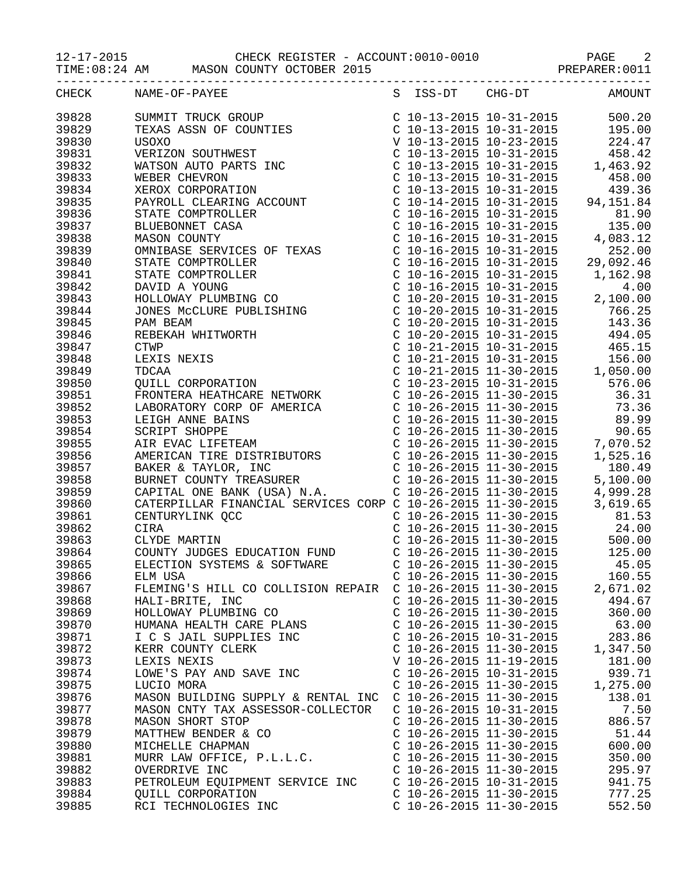12-17-2015 CHECK REGISTER - ACCOUNT:0010-0010 PAGE 2

TIME:08:24 AM MASON COUNTY OCTOBER 2015

| CHECK | NAME-OF-PAYEE                                               |                           |                           | S ISS-DT CHG-DT AMOUNT |
|-------|-------------------------------------------------------------|---------------------------|---------------------------|------------------------|
| 39828 |                                                             |                           |                           |                        |
| 39829 |                                                             |                           |                           |                        |
| 39830 |                                                             |                           |                           |                        |
| 39831 |                                                             |                           |                           |                        |
| 39832 |                                                             |                           |                           |                        |
| 39833 |                                                             |                           |                           |                        |
| 39834 |                                                             |                           |                           |                        |
|       |                                                             |                           |                           |                        |
| 39835 |                                                             |                           |                           |                        |
| 39836 |                                                             |                           |                           |                        |
| 39837 |                                                             |                           |                           |                        |
| 39838 |                                                             |                           |                           |                        |
| 39839 |                                                             |                           |                           |                        |
| 39840 |                                                             |                           |                           |                        |
| 39841 |                                                             |                           |                           |                        |
| 39842 |                                                             |                           |                           |                        |
| 39843 |                                                             |                           |                           |                        |
| 39844 |                                                             |                           |                           |                        |
| 39845 |                                                             |                           |                           |                        |
| 39846 |                                                             |                           |                           |                        |
| 39847 |                                                             |                           |                           |                        |
| 39848 |                                                             |                           |                           |                        |
| 39849 |                                                             |                           |                           |                        |
| 39850 |                                                             |                           |                           |                        |
| 39851 |                                                             |                           |                           |                        |
| 39852 |                                                             |                           |                           |                        |
| 39853 |                                                             |                           |                           |                        |
| 39854 |                                                             |                           |                           |                        |
| 39855 |                                                             |                           |                           |                        |
| 39856 |                                                             |                           |                           |                        |
| 39857 |                                                             |                           |                           |                        |
| 39858 |                                                             |                           |                           |                        |
| 39859 |                                                             |                           |                           |                        |
| 39860 |                                                             |                           |                           |                        |
| 39861 |                                                             |                           |                           |                        |
| 39862 |                                                             |                           |                           |                        |
| 39863 |                                                             |                           |                           |                        |
| 39864 |                                                             |                           |                           |                        |
| 39865 |                                                             |                           |                           |                        |
| 39866 | ELM USA                                                     |                           | $C$ 10-26-2015 11-30-2015 | 160.55                 |
| 39867 | FLEMING'S HILL CO COLLISION REPAIR  C 10-26-2015 11-30-2015 |                           |                           | 2,671.02               |
| 39868 | HALI-BRITE, INC                                             | $C$ 10-26-2015 11-30-2015 |                           | 494.67                 |
| 39869 | HOLLOWAY PLUMBING CO                                        | $C$ 10-26-2015 11-30-2015 |                           | 360.00                 |
| 39870 |                                                             |                           |                           |                        |
|       | HUMANA HEALTH CARE PLANS                                    | $C$ 10-26-2015 11-30-2015 |                           | 63.00                  |
| 39871 | I C S JAIL SUPPLIES INC                                     | $C$ 10-26-2015 10-31-2015 |                           | 283.86                 |
| 39872 | KERR COUNTY CLERK                                           | $C$ 10-26-2015 11-30-2015 |                           | 1,347.50               |
| 39873 | LEXIS NEXIS                                                 | V 10-26-2015 11-19-2015   |                           | 181.00                 |
| 39874 | LOWE'S PAY AND SAVE INC                                     | $C$ 10-26-2015 10-31-2015 |                           | 939.71                 |
| 39875 | LUCIO MORA                                                  | $C$ 10-26-2015 11-30-2015 |                           | 1,275.00               |
| 39876 | MASON BUILDING SUPPLY & RENTAL INC                          | $C$ 10-26-2015 11-30-2015 |                           | 138.01                 |
| 39877 | MASON CNTY TAX ASSESSOR-COLLECTOR                           | $C$ 10-26-2015 10-31-2015 |                           | 7.50                   |
| 39878 | MASON SHORT STOP                                            | $C$ 10-26-2015 11-30-2015 |                           | 886.57                 |
| 39879 | MATTHEW BENDER & CO                                         | $C$ 10-26-2015 11-30-2015 |                           | 51.44                  |
| 39880 | MICHELLE CHAPMAN                                            | $C$ 10-26-2015 11-30-2015 |                           | 600.00                 |
| 39881 | MURR LAW OFFICE, P.L.L.C.                                   | $C$ 10-26-2015 11-30-2015 |                           | 350.00                 |
| 39882 | OVERDRIVE INC                                               | $C$ 10-26-2015 11-30-2015 |                           | 295.97                 |
| 39883 | PETROLEUM EQUIPMENT SERVICE INC                             | $C$ 10-26-2015 10-31-2015 |                           | 941.75                 |
| 39884 | <b>QUILL CORPORATION</b>                                    | $C$ 10-26-2015 11-30-2015 |                           | 777.25                 |
| 39885 | RCI TECHNOLOGIES INC                                        | $C$ 10-26-2015 11-30-2015 |                           | 552.50                 |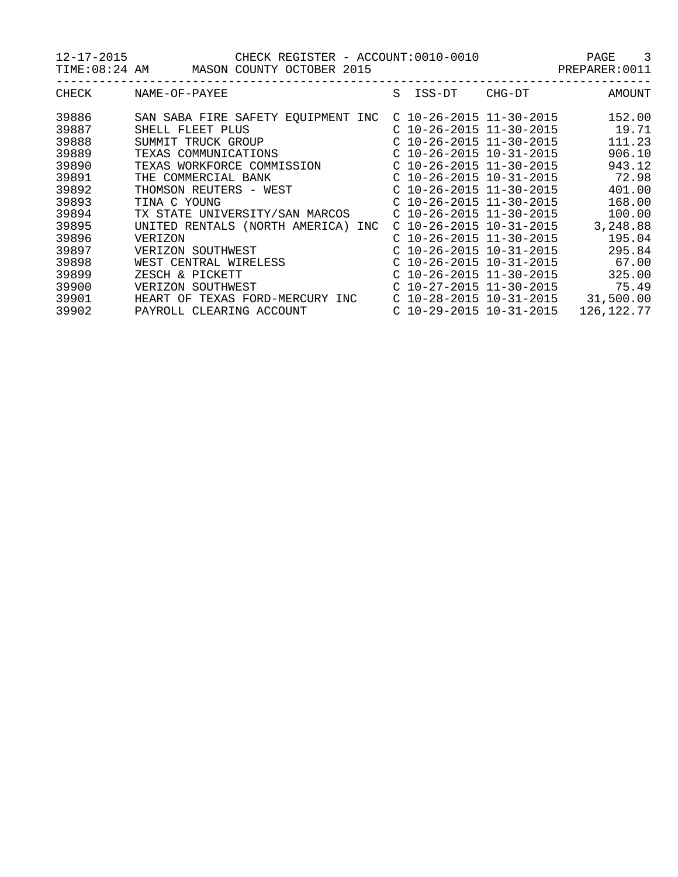12-17-2015 CHECK REGISTER - ACCOUNT:0010-0010 PAGE 3

TIME:08:24 AM MASON COUNTY OCTOBER 2015

| CHECK | NAME-OF-PAYEE                         | S<br>ISS-DT               | CHG-DT | AMOUNT       |
|-------|---------------------------------------|---------------------------|--------|--------------|
| 39886 | SAN SABA FIRE SAFETY EQUIPMENT INC    | $C$ 10-26-2015 11-30-2015 |        | 152.00       |
| 39887 | SHELL FLEET PLUS                      | $C$ 10-26-2015 11-30-2015 |        | 19.71        |
| 39888 | SUMMIT TRUCK GROUP                    | $C$ 10-26-2015 11-30-2015 |        | 111.23       |
| 39889 | TEXAS COMMUNICATIONS                  | $C$ 10-26-2015 10-31-2015 |        | 906.10       |
| 39890 | TEXAS WORKFORCE COMMISSION            | $C$ 10-26-2015 11-30-2015 |        | 943.12       |
| 39891 | THE COMMERCIAL BANK                   | $C$ 10-26-2015 10-31-2015 |        | 72.98        |
| 39892 | THOMSON REUTERS - WEST                | $C$ 10-26-2015 11-30-2015 |        | 401.00       |
| 39893 | TINA C YOUNG                          | $C$ 10-26-2015 11-30-2015 |        | 168.00       |
| 39894 | TX STATE UNIVERSITY/SAN MARCOS        | $C$ 10-26-2015 11-30-2015 |        | 100.00       |
| 39895 | UNITED RENTALS (NORTH AMERICA)<br>INC | $C$ 10-26-2015 10-31-2015 |        | 3,248.88     |
| 39896 | VERIZON                               | $C$ 10-26-2015 11-30-2015 |        | 195.04       |
| 39897 | VERIZON SOUTHWEST                     | $C$ 10-26-2015 10-31-2015 |        | 295.84       |
| 39898 | WEST CENTRAL WIRELESS                 | $C$ 10-26-2015 10-31-2015 |        | 67.00        |
| 39899 | ZESCH & PICKETT                       | $C$ 10-26-2015 11-30-2015 |        | 325.00       |
| 39900 | VERIZON SOUTHWEST                     | $C$ 10-27-2015 11-30-2015 |        | 75.49        |
| 39901 | HEART OF<br>TEXAS FORD-MERCURY INC    | $C$ 10-28-2015 10-31-2015 |        | 31,500.00    |
| 39902 | PAYROLL CLEARING ACCOUNT              | $C$ 10-29-2015 10-31-2015 |        | 126, 122. 77 |
|       |                                       |                           |        |              |